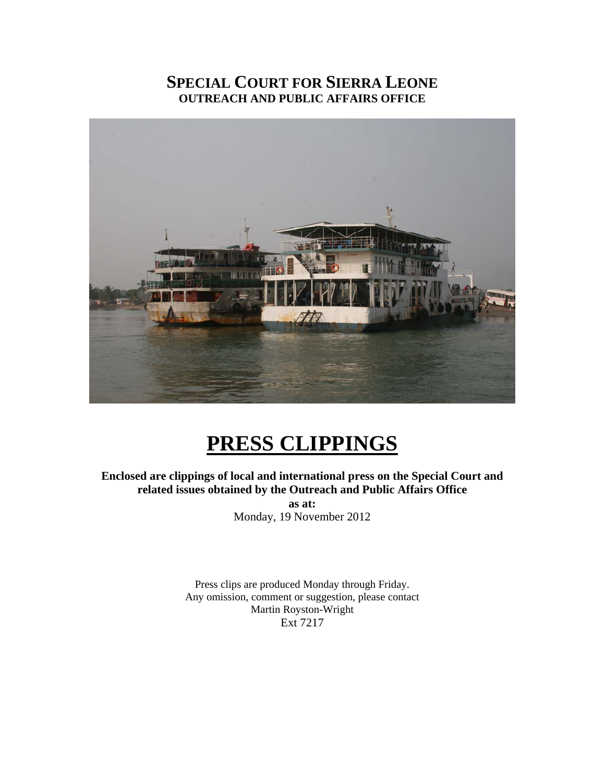## **SPECIAL COURT FOR SIERRA LEONE OUTREACH AND PUBLIC AFFAIRS OFFICE**



# **PRESS CLIPPINGS**

**Enclosed are clippings of local and international press on the Special Court and related issues obtained by the Outreach and Public Affairs Office as at:** 

Monday, 19 November 2012

Press clips are produced Monday through Friday. Any omission, comment or suggestion, please contact Martin Royston-Wright Ext 7217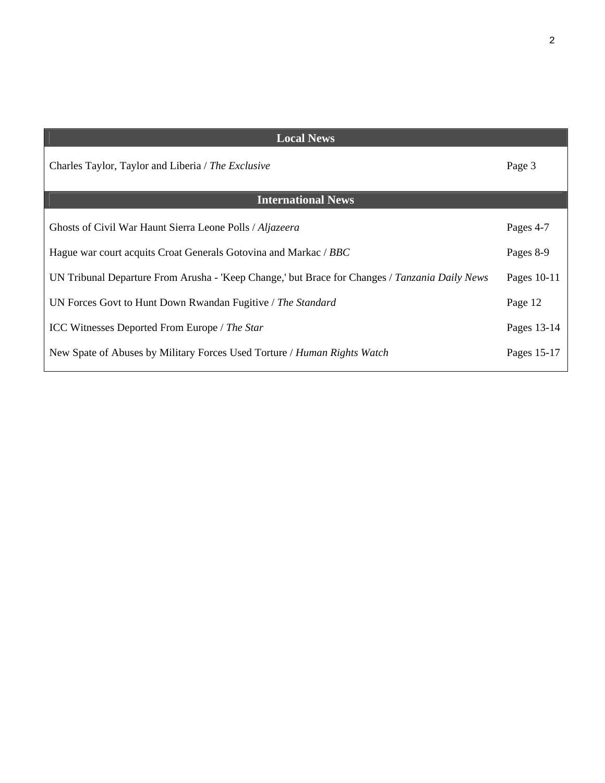| <b>Local News</b>                                                                              |             |
|------------------------------------------------------------------------------------------------|-------------|
| Charles Taylor, Taylor and Liberia / The Exclusive                                             | Page 3      |
| <b>International News</b>                                                                      |             |
| Ghosts of Civil War Haunt Sierra Leone Polls / Aljazeera                                       | Pages 4-7   |
| Hague war court acquits Croat Generals Gotovina and Markac / BBC                               | Pages 8-9   |
| UN Tribunal Departure From Arusha - 'Keep Change,' but Brace for Changes / Tanzania Daily News | Pages 10-11 |
| UN Forces Govt to Hunt Down Rwandan Fugitive / The Standard                                    | Page 12     |
| <b>ICC Witnesses Deported From Europe</b> / The Star                                           | Pages 13-14 |
| New Spate of Abuses by Military Forces Used Torture / Human Rights Watch                       | Pages 15-17 |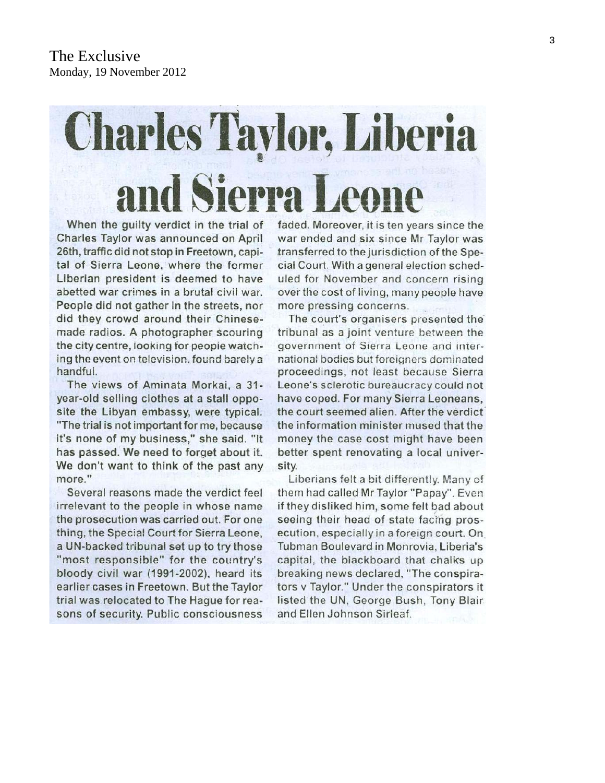# **Charles Taylor, Liberia** and Sierra Leone

When the quilty verdict in the trial of Charles Taylor was announced on April 26th, traffic did not stop in Freetown, capital of Sierra Leone, where the former Liberian president is deemed to have abetted war crimes in a brutal civil war. People did not gather in the streets, nor did they crowd around their Chinesemade radios. A photographer scouring the city centre, looking for people watching the event on television, found barely a handful.

The views of Aminata Morkai, a 31year-old selling clothes at a stall opposite the Libyan embassy, were typical. "The trial is not important for me, because it's none of my business," she said. "It has passed. We need to forget about it. We don't want to think of the past any more "

Several reasons made the verdict feel irrelevant to the people in whose name the prosecution was carried out. For one thing, the Special Court for Sierra Leone, a UN-backed tribunal set up to try those "most responsible" for the country's bloody civil war (1991-2002), heard its earlier cases in Freetown. But the Taylor trial was relocated to The Haque for reasons of security. Public consciousness

faded. Moreover, it is ten years since the war ended and six since Mr Taylor was transferred to the jurisdiction of the Special Court. With a general election scheduled for November and concern rising over the cost of living, many people have more pressing concerns.

The court's organisers presented the tribunal as a joint venture between the government of Sierra Leone and international bodies but foreigners dominated proceedings, not least because Sierra Leone's sclerotic bureaucracy could not have coped. For many Sierra Leoneans. the court seemed alien. After the verdict the information minister mused that the money the case cost might have been better spent renovating a local university.

Liberians felt a bit differently. Many of them had called Mr Taylor "Papay". Even if they disliked him, some felt bad about seeing their head of state facing prosecution, especially in a foreign court. On Tubman Boulevard in Monrovia, Liberia's capital, the blackboard that chalks up breaking news declared, "The conspirators v Taylor." Under the conspirators it listed the UN, George Bush, Tony Blair and Ellen Johnson Sirleaf.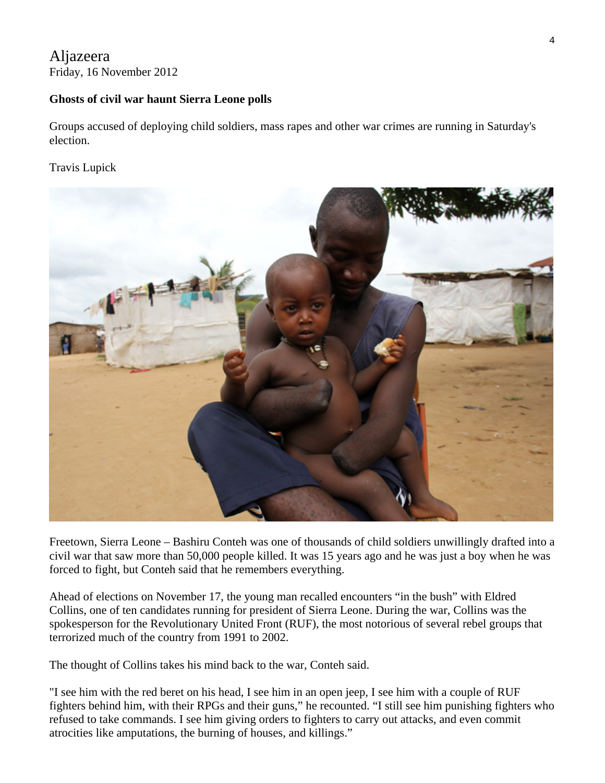#### Aljazeera Friday, 16 November 2012

#### **Ghosts of civil war haunt Sierra Leone polls**

Groups accused of deploying child soldiers, mass rapes and other war crimes are running in Saturday's election.

#### Travis Lupick



Freetown, Sierra Leone – Bashiru Conteh was one of thousands of child soldiers unwillingly drafted into a civil war that saw more than 50,000 people killed. It was 15 years ago and he was just a boy when he was forced to fight, but Conteh said that he remembers everything.

Ahead of elections on November 17, the young man recalled encounters "in the bush" with Eldred Collins, one of ten candidates running for president of Sierra Leone. During the war, Collins was the spokesperson for the Revolutionary United Front (RUF), the most notorious of several rebel groups that terrorized much of the country from 1991 to 2002.

The thought of Collins takes his mind back to the war, Conteh said.

"I see him with the red beret on his head, I see him in an open jeep, I see him with a couple of RUF fighters behind him, with their RPGs and their guns," he recounted. "I still see him punishing fighters who refused to take commands. I see him giving orders to fighters to carry out attacks, and even commit atrocities like amputations, the burning of houses, and killings."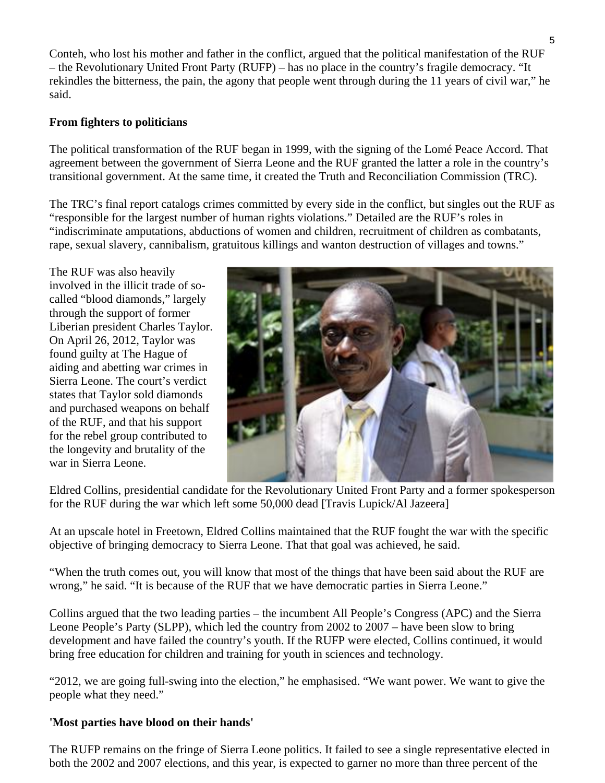Conteh, who lost his mother and father in the conflict, argued that the political manifestation of the RUF – the Revolutionary United Front Party (RUFP) – has no place in the country's fragile democracy. "It rekindles the bitterness, the pain, the agony that people went through during the 11 years of civil war," he said.

#### **From fighters to politicians**

The political transformation of the RUF began in 1999, with the signing of the Lomé Peace Accord. That agreement between the government of Sierra Leone and the RUF granted the latter a role in the country's transitional government. At the same time, it created the Truth and Reconciliation Commission (TRC).

The TRC's final report catalogs crimes committed by every side in the conflict, but singles out the RUF as "responsible for the largest number of human rights violations." Detailed are the RUF's roles in "indiscriminate amputations, abductions of women and children, recruitment of children as combatants, rape, sexual slavery, cannibalism, gratuitous killings and wanton destruction of villages and towns."

The RUF was also heavily involved in the illicit trade of socalled "blood diamonds," largely through the support of former Liberian president Charles Taylor. On April 26, 2012, Taylor was found guilty at The Hague of aiding and abetting war crimes in Sierra Leone. The court's verdict states that Taylor sold diamonds and purchased weapons on behalf of the RUF, and that his support for the rebel group contributed to the longevity and brutality of the war in Sierra Leone.



Eldred Collins, presidential candidate for the Revolutionary United Front Party and a former spokesperson for the RUF during the war which left some 50,000 dead [Travis Lupick/Al Jazeera]

At an upscale hotel in Freetown, Eldred Collins maintained that the RUF fought the war with the specific objective of bringing democracy to Sierra Leone. That that goal was achieved, he said.

"When the truth comes out, you will know that most of the things that have been said about the RUF are wrong," he said. "It is because of the RUF that we have democratic parties in Sierra Leone."

Collins argued that the two leading parties – the incumbent All People's Congress (APC) and the Sierra Leone People's Party (SLPP), which led the country from 2002 to 2007 – have been slow to bring development and have failed the country's youth. If the RUFP were elected, Collins continued, it would bring free education for children and training for youth in sciences and technology.

"2012, we are going full-swing into the election," he emphasised. "We want power. We want to give the people what they need."

#### **'Most parties have blood on their hands'**

The RUFP remains on the fringe of Sierra Leone politics. It failed to see a single representative elected in both the 2002 and 2007 elections, and this year, is expected to garner no more than three percent of the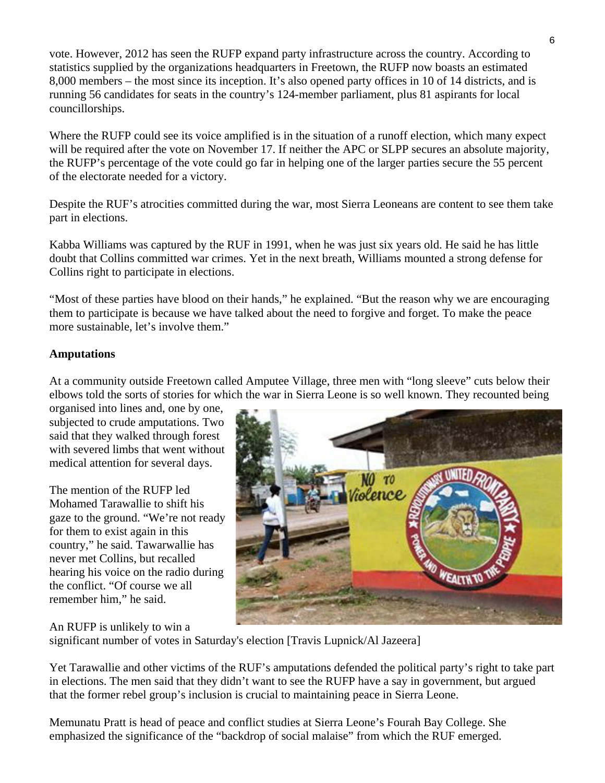vote. However, 2012 has seen the RUFP expand party infrastructure across the country. According to statistics supplied by the organizations headquarters in Freetown, the RUFP now boasts an estimated 8,000 members – the most since its inception. It's also opened party offices in 10 of 14 districts, and is running 56 candidates for seats in the country's 124-member parliament, plus 81 aspirants for local councillorships.

Where the RUFP could see its voice amplified is in the situation of a runoff election, which many expect will be required after the vote on November 17. If neither the APC or SLPP secures an absolute majority, the RUFP's percentage of the vote could go far in helping one of the larger parties secure the 55 percent of the electorate needed for a victory.

Despite the RUF's atrocities committed during the war, most Sierra Leoneans are content to see them take part in elections.

Kabba Williams was captured by the RUF in 1991, when he was just six years old. He said he has little doubt that Collins committed war crimes. Yet in the next breath, Williams mounted a strong defense for Collins right to participate in elections.

"Most of these parties have blood on their hands," he explained. "But the reason why we are encouraging them to participate is because we have talked about the need to forgive and forget. To make the peace more sustainable, let's involve them."

#### **Amputations**

At a community outside Freetown called Amputee Village, three men with "long sleeve" cuts below their elbows told the sorts of stories for which the war in Sierra Leone is so well known. They recounted being

organised into lines and, one by one, subjected to crude amputations. Two said that they walked through forest with severed limbs that went without medical attention for several days.

The mention of the RUFP led Mohamed Tarawallie to shift his gaze to the ground. "We're not ready for them to exist again in this country," he said. Tawarwallie has never met Collins, but recalled hearing his voice on the radio during the conflict. "Of course we all remember him," he said.



An RUFP is unlikely to win a

significant number of votes in Saturday's election [Travis Lupnick/Al Jazeera]

Yet Tarawallie and other victims of the RUF's amputations defended the political party's right to take part in elections. The men said that they didn't want to see the RUFP have a say in government, but argued that the former rebel group's inclusion is crucial to maintaining peace in Sierra Leone.

Memunatu Pratt is head of peace and conflict studies at Sierra Leone's Fourah Bay College. She emphasized the significance of the "backdrop of social malaise" from which the RUF emerged.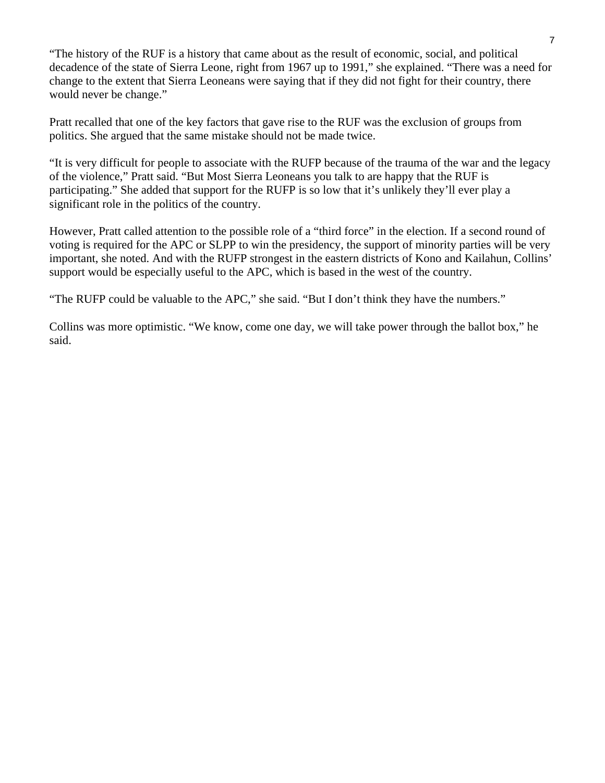"The history of the RUF is a history that came about as the result of economic, social, and political decadence of the state of Sierra Leone, right from 1967 up to 1991," she explained. "There was a need for change to the extent that Sierra Leoneans were saying that if they did not fight for their country, there would never be change."

Pratt recalled that one of the key factors that gave rise to the RUF was the exclusion of groups from politics. She argued that the same mistake should not be made twice.

"It is very difficult for people to associate with the RUFP because of the trauma of the war and the legacy of the violence," Pratt said. "But Most Sierra Leoneans you talk to are happy that the RUF is participating." She added that support for the RUFP is so low that it's unlikely they'll ever play a significant role in the politics of the country.

However, Pratt called attention to the possible role of a "third force" in the election. If a second round of voting is required for the APC or SLPP to win the presidency, the support of minority parties will be very important, she noted. And with the RUFP strongest in the eastern districts of Kono and Kailahun, Collins' support would be especially useful to the APC, which is based in the west of the country.

"The RUFP could be valuable to the APC," she said. "But I don't think they have the numbers."

Collins was more optimistic. "We know, come one day, we will take power through the ballot box," he said.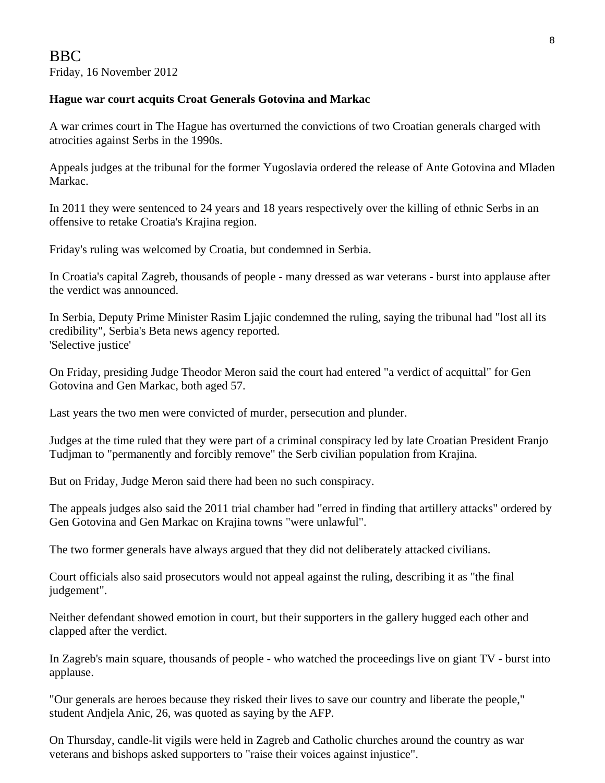#### **Hague war court acquits Croat Generals Gotovina and Markac**

A war crimes court in The Hague has overturned the convictions of two Croatian generals charged with atrocities against Serbs in the 1990s.

Appeals judges at the tribunal for the former Yugoslavia ordered the release of Ante Gotovina and Mladen Markac.

In 2011 they were sentenced to 24 years and 18 years respectively over the killing of ethnic Serbs in an offensive to retake Croatia's Krajina region.

Friday's ruling was welcomed by Croatia, but condemned in Serbia.

In Croatia's capital Zagreb, thousands of people - many dressed as war veterans - burst into applause after the verdict was announced.

In Serbia, Deputy Prime Minister Rasim Ljajic condemned the ruling, saying the tribunal had "lost all its credibility", Serbia's Beta news agency reported. 'Selective justice'

On Friday, presiding Judge Theodor Meron said the court had entered "a verdict of acquittal" for Gen Gotovina and Gen Markac, both aged 57.

Last years the two men were convicted of murder, persecution and plunder.

Judges at the time ruled that they were part of a criminal conspiracy led by late Croatian President Franjo Tudjman to "permanently and forcibly remove" the Serb civilian population from Krajina.

But on Friday, Judge Meron said there had been no such conspiracy.

The appeals judges also said the 2011 trial chamber had "erred in finding that artillery attacks" ordered by Gen Gotovina and Gen Markac on Krajina towns "were unlawful".

The two former generals have always argued that they did not deliberately attacked civilians.

Court officials also said prosecutors would not appeal against the ruling, describing it as "the final judgement".

Neither defendant showed emotion in court, but their supporters in the gallery hugged each other and clapped after the verdict.

In Zagreb's main square, thousands of people - who watched the proceedings live on giant TV - burst into applause.

"Our generals are heroes because they risked their lives to save our country and liberate the people," student Andjela Anic, 26, was quoted as saying by the AFP.

On Thursday, candle-lit vigils were held in Zagreb and Catholic churches around the country as war veterans and bishops asked supporters to "raise their voices against injustice".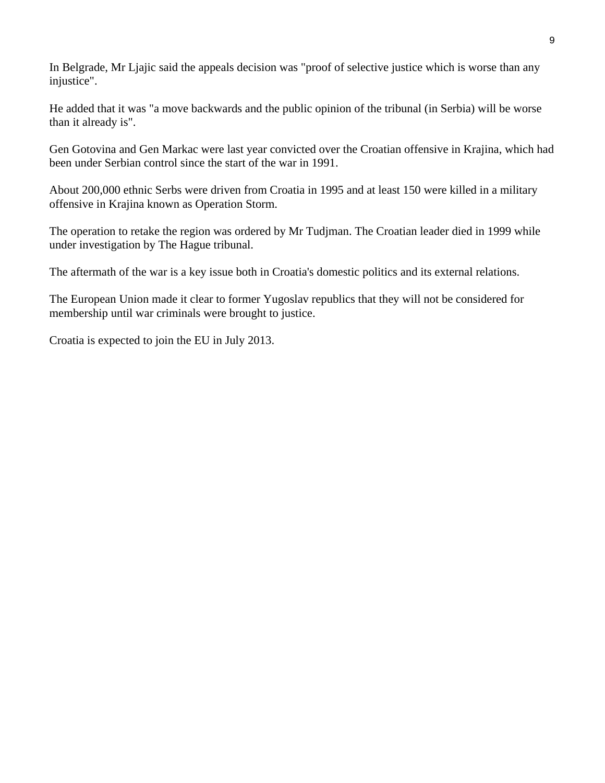In Belgrade, Mr Ljajic said the appeals decision was "proof of selective justice which is worse than any injustice".

He added that it was "a move backwards and the public opinion of the tribunal (in Serbia) will be worse than it already is".

Gen Gotovina and Gen Markac were last year convicted over the Croatian offensive in Krajina, which had been under Serbian control since the start of the war in 1991.

About 200,000 ethnic Serbs were driven from Croatia in 1995 and at least 150 were killed in a military offensive in Krajina known as Operation Storm.

The operation to retake the region was ordered by Mr Tudjman. The Croatian leader died in 1999 while under investigation by The Hague tribunal.

The aftermath of the war is a key issue both in Croatia's domestic politics and its external relations.

The European Union made it clear to former Yugoslav republics that they will not be considered for membership until war criminals were brought to justice.

Croatia is expected to join the EU in July 2013.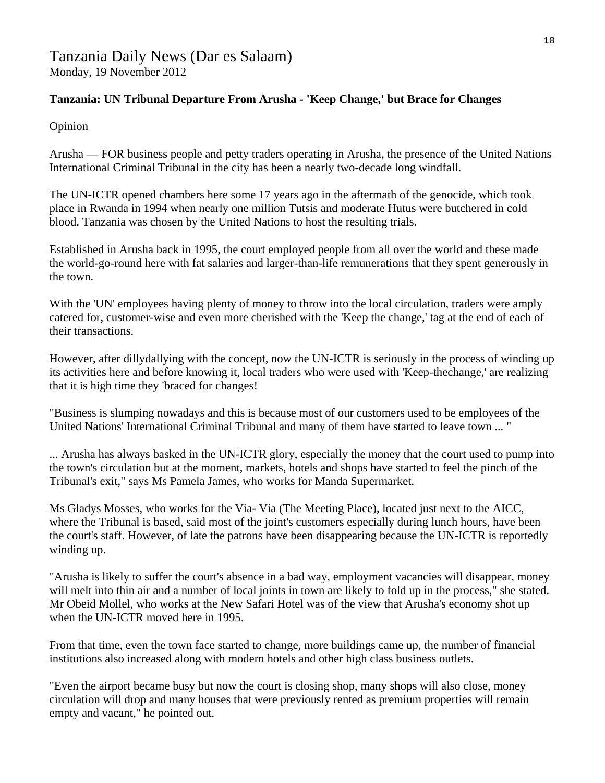# Tanzania Daily News (Dar es Salaam)

Monday, 19 November 2012

#### **Tanzania: UN Tribunal Departure From Arusha - 'Keep Change,' but Brace for Changes**

Opinion

Arusha — FOR business people and petty traders operating in Arusha, the presence of the United Nations International Criminal Tribunal in the city has been a nearly two-decade long windfall.

The UN-ICTR opened chambers here some 17 years ago in the aftermath of the genocide, which took place in Rwanda in 1994 when nearly one million Tutsis and moderate Hutus were butchered in cold blood. Tanzania was chosen by the United Nations to host the resulting trials.

Established in Arusha back in 1995, the court employed people from all over the world and these made the world-go-round here with fat salaries and larger-than-life remunerations that they spent generously in the town.

With the 'UN' employees having plenty of money to throw into the local circulation, traders were amply catered for, customer-wise and even more cherished with the 'Keep the change,' tag at the end of each of their transactions.

However, after dillydallying with the concept, now the UN-ICTR is seriously in the process of winding up its activities here and before knowing it, local traders who were used with 'Keep-thechange,' are realizing that it is high time they 'braced for changes!

"Business is slumping nowadays and this is because most of our customers used to be employees of the United Nations' International Criminal Tribunal and many of them have started to leave town ... "

... Arusha has always basked in the UN-ICTR glory, especially the money that the court used to pump into the town's circulation but at the moment, markets, hotels and shops have started to feel the pinch of the Tribunal's exit," says Ms Pamela James, who works for Manda Supermarket.

Ms Gladys Mosses, who works for the Via- Via (The Meeting Place), located just next to the AICC, where the Tribunal is based, said most of the joint's customers especially during lunch hours, have been the court's staff. However, of late the patrons have been disappearing because the UN-ICTR is reportedly winding up.

"Arusha is likely to suffer the court's absence in a bad way, employment vacancies will disappear, money will melt into thin air and a number of local joints in town are likely to fold up in the process," she stated. Mr Obeid Mollel, who works at the New Safari Hotel was of the view that Arusha's economy shot up when the UN-ICTR moved here in 1995.

From that time, even the town face started to change, more buildings came up, the number of financial institutions also increased along with modern hotels and other high class business outlets.

"Even the airport became busy but now the court is closing shop, many shops will also close, money circulation will drop and many houses that were previously rented as premium properties will remain empty and vacant," he pointed out.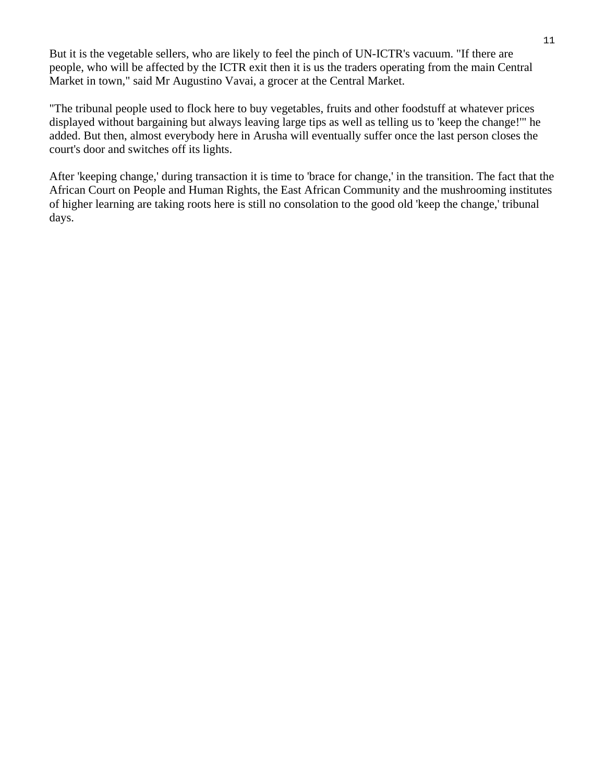But it is the vegetable sellers, who are likely to feel the pinch of UN-ICTR's vacuum. "If there are people, who will be affected by the ICTR exit then it is us the traders operating from the main Central Market in town," said Mr Augustino Vavai, a grocer at the Central Market.

"The tribunal people used to flock here to buy vegetables, fruits and other foodstuff at whatever prices displayed without bargaining but always leaving large tips as well as telling us to 'keep the change!'" he added. But then, almost everybody here in Arusha will eventually suffer once the last person closes the court's door and switches off its lights.

After 'keeping change,' during transaction it is time to 'brace for change,' in the transition. The fact that the African Court on People and Human Rights, the East African Community and the mushrooming institutes of higher learning are taking roots here is still no consolation to the good old 'keep the change,' tribunal days.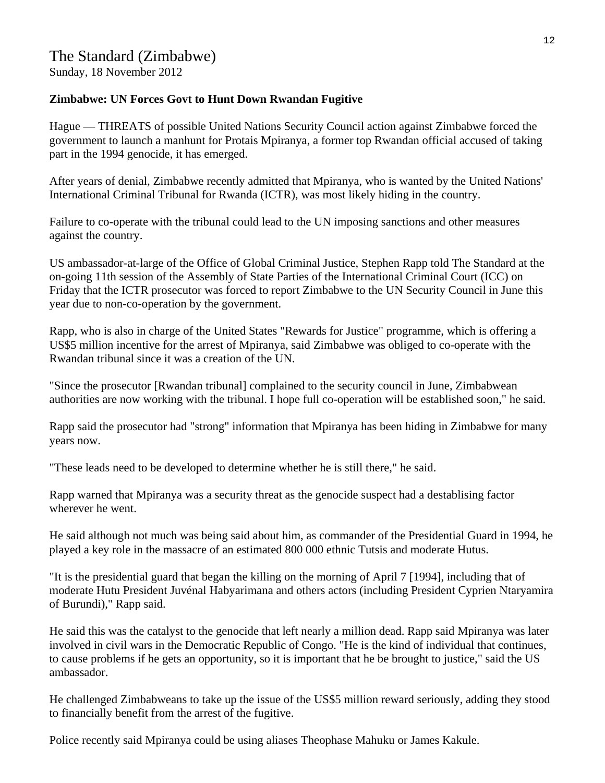Sunday, 18 November 2012

#### **Zimbabwe: UN Forces Govt to Hunt Down Rwandan Fugitive**

Hague — THREATS of possible United Nations Security Council action against Zimbabwe forced the government to launch a manhunt for Protais Mpiranya, a former top Rwandan official accused of taking part in the 1994 genocide, it has emerged.

After years of denial, Zimbabwe recently admitted that Mpiranya, who is wanted by the United Nations' International Criminal Tribunal for Rwanda (ICTR), was most likely hiding in the country.

Failure to co-operate with the tribunal could lead to the UN imposing sanctions and other measures against the country.

US ambassador-at-large of the Office of Global Criminal Justice, Stephen Rapp told The Standard at the on-going 11th session of the Assembly of State Parties of the International Criminal Court (ICC) on Friday that the ICTR prosecutor was forced to report Zimbabwe to the UN Security Council in June this year due to non-co-operation by the government.

Rapp, who is also in charge of the United States "Rewards for Justice" programme, which is offering a US\$5 million incentive for the arrest of Mpiranya, said Zimbabwe was obliged to co-operate with the Rwandan tribunal since it was a creation of the UN.

"Since the prosecutor [Rwandan tribunal] complained to the security council in June, Zimbabwean authorities are now working with the tribunal. I hope full co-operation will be established soon," he said.

Rapp said the prosecutor had "strong" information that Mpiranya has been hiding in Zimbabwe for many years now.

"These leads need to be developed to determine whether he is still there," he said.

Rapp warned that Mpiranya was a security threat as the genocide suspect had a destablising factor wherever he went.

He said although not much was being said about him, as commander of the Presidential Guard in 1994, he played a key role in the massacre of an estimated 800 000 ethnic Tutsis and moderate Hutus.

"It is the presidential guard that began the killing on the morning of April 7 [1994], including that of moderate Hutu President Juvénal Habyarimana and others actors (including President Cyprien Ntaryamira of Burundi)," Rapp said.

He said this was the catalyst to the genocide that left nearly a million dead. Rapp said Mpiranya was later involved in civil wars in the Democratic Republic of Congo. "He is the kind of individual that continues, to cause problems if he gets an opportunity, so it is important that he be brought to justice," said the US ambassador.

He challenged Zimbabweans to take up the issue of the US\$5 million reward seriously, adding they stood to financially benefit from the arrest of the fugitive.

Police recently said Mpiranya could be using aliases Theophase Mahuku or James Kakule.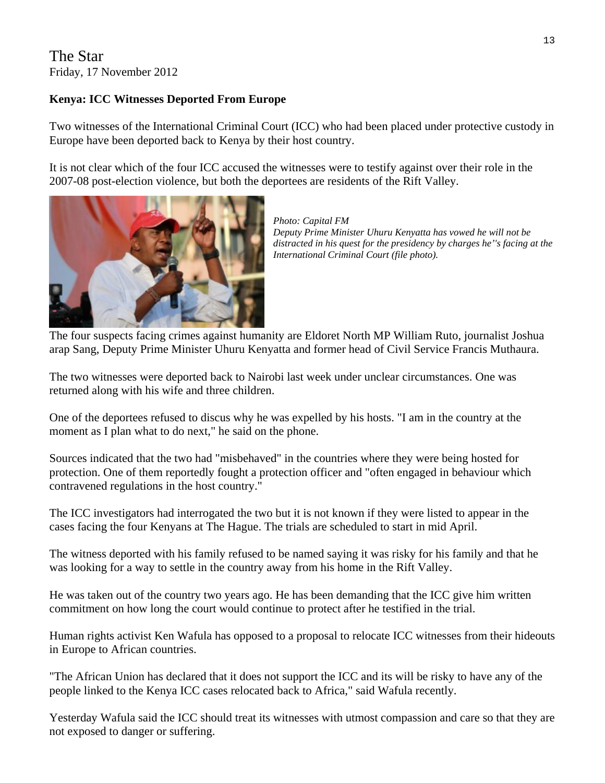#### The Star Friday, 17 November 2012

#### **Kenya: ICC Witnesses Deported From Europe**

Two witnesses of the International Criminal Court (ICC) who had been placed under protective custody in Europe have been deported back to Kenya by their host country.

It is not clear which of the four ICC accused the witnesses were to testify against over their role in the 2007-08 post-election violence, but both the deportees are residents of the Rift Valley.



*Photo: Capital FM Deputy Prime Minister Uhuru Kenyatta has vowed he will not be distracted in his quest for the presidency by charges he''s facing at the International Criminal Court (file photo).* 

The four suspects facing crimes against humanity are Eldoret North MP William Ruto, journalist Joshua arap Sang, Deputy Prime Minister Uhuru Kenyatta and former head of Civil Service Francis Muthaura.

The two witnesses were deported back to Nairobi last week under unclear circumstances. One was returned along with his wife and three children.

One of the deportees refused to discus why he was expelled by his hosts. "I am in the country at the moment as I plan what to do next," he said on the phone.

Sources indicated that the two had "misbehaved" in the countries where they were being hosted for protection. One of them reportedly fought a protection officer and "often engaged in behaviour which contravened regulations in the host country."

The ICC investigators had interrogated the two but it is not known if they were listed to appear in the cases facing the four Kenyans at The Hague. The trials are scheduled to start in mid April.

The witness deported with his family refused to be named saying it was risky for his family and that he was looking for a way to settle in the country away from his home in the Rift Valley.

He was taken out of the country two years ago. He has been demanding that the ICC give him written commitment on how long the court would continue to protect after he testified in the trial.

Human rights activist Ken Wafula has opposed to a proposal to relocate ICC witnesses from their hideouts in Europe to African countries.

"The African Union has declared that it does not support the ICC and its will be risky to have any of the people linked to the Kenya ICC cases relocated back to Africa," said Wafula recently.

Yesterday Wafula said the ICC should treat its witnesses with utmost compassion and care so that they are not exposed to danger or suffering.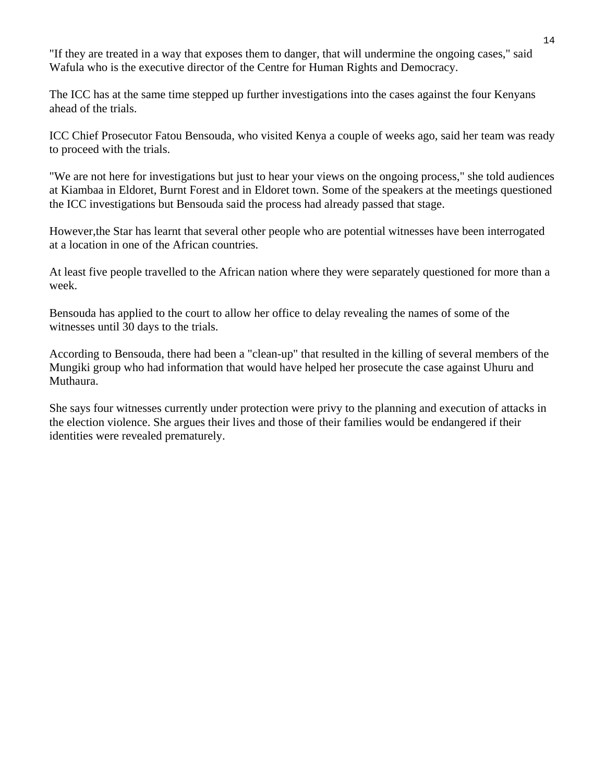"If they are treated in a way that exposes them to danger, that will undermine the ongoing cases," said Wafula who is the executive director of the Centre for Human Rights and Democracy.

The ICC has at the same time stepped up further investigations into the cases against the four Kenyans ahead of the trials.

ICC Chief Prosecutor Fatou Bensouda, who visited Kenya a couple of weeks ago, said her team was ready to proceed with the trials.

"We are not here for investigations but just to hear your views on the ongoing process," she told audiences at Kiambaa in Eldoret, Burnt Forest and in Eldoret town. Some of the speakers at the meetings questioned the ICC investigations but Bensouda said the process had already passed that stage.

However,the Star has learnt that several other people who are potential witnesses have been interrogated at a location in one of the African countries.

At least five people travelled to the African nation where they were separately questioned for more than a week.

Bensouda has applied to the court to allow her office to delay revealing the names of some of the witnesses until 30 days to the trials.

According to Bensouda, there had been a "clean-up" that resulted in the killing of several members of the Mungiki group who had information that would have helped her prosecute the case against Uhuru and Muthaura.

She says four witnesses currently under protection were privy to the planning and execution of attacks in the election violence. She argues their lives and those of their families would be endangered if their identities were revealed prematurely.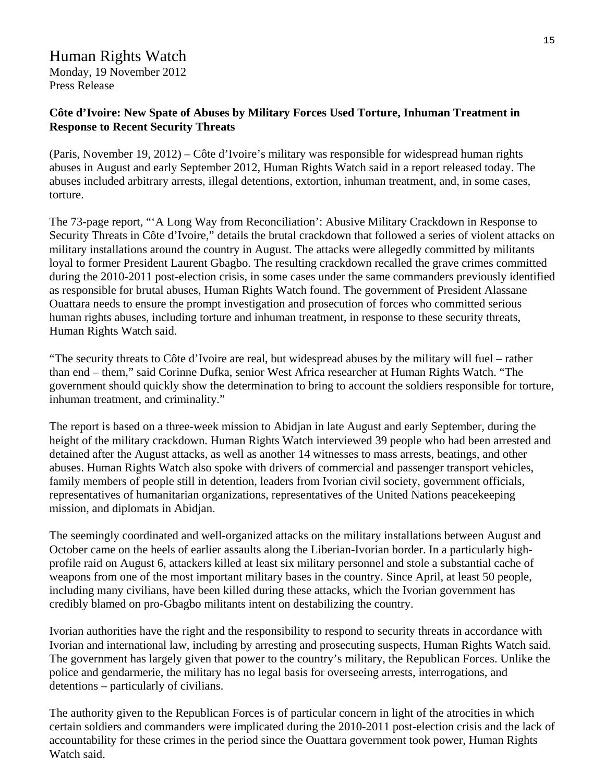### Human Rights Watch

Monday, 19 November 2012 Press Release

#### **Côte d'Ivoire: New Spate of Abuses by Military Forces Used Torture, Inhuman Treatment in Response to Recent Security Threats**

(Paris, November 19, 2012) – Côte d'Ivoire's military was responsible for widespread human rights abuses in August and early September 2012, Human Rights Watch said in a report released today. The abuses included arbitrary arrests, illegal detentions, extortion, inhuman treatment, and, in some cases, torture.

The 73-page report, "'A Long Way from Reconciliation': Abusive Military Crackdown in Response to Security Threats in Côte d'Ivoire," details the brutal crackdown that followed a series of violent attacks on military installations around the country in August. The attacks were allegedly committed by militants loyal to former President Laurent Gbagbo. The resulting crackdown recalled the grave crimes committed during the 2010-2011 post-election crisis, in some cases under the same commanders previously identified as responsible for brutal abuses, Human Rights Watch found. The government of President Alassane Ouattara needs to ensure the prompt investigation and prosecution of forces who committed serious human rights abuses, including torture and inhuman treatment, in response to these security threats, Human Rights Watch said.

"The security threats to Côte d'Ivoire are real, but widespread abuses by the military will fuel – rather than end – them," said Corinne Dufka, senior West Africa researcher at Human Rights Watch. "The government should quickly show the determination to bring to account the soldiers responsible for torture, inhuman treatment, and criminality."

The report is based on a three-week mission to Abidjan in late August and early September, during the height of the military crackdown. Human Rights Watch interviewed 39 people who had been arrested and detained after the August attacks, as well as another 14 witnesses to mass arrests, beatings, and other abuses. Human Rights Watch also spoke with drivers of commercial and passenger transport vehicles, family members of people still in detention, leaders from Ivorian civil society, government officials, representatives of humanitarian organizations, representatives of the United Nations peacekeeping mission, and diplomats in Abidjan.

The seemingly coordinated and well-organized attacks on the military installations between August and October came on the heels of earlier assaults along the Liberian-Ivorian border. In a particularly highprofile raid on August 6, attackers killed at least six military personnel and stole a substantial cache of weapons from one of the most important military bases in the country. Since April, at least 50 people, including many civilians, have been killed during these attacks, which the Ivorian government has credibly blamed on pro-Gbagbo militants intent on destabilizing the country.

Ivorian authorities have the right and the responsibility to respond to security threats in accordance with Ivorian and international law, including by arresting and prosecuting suspects, Human Rights Watch said. The government has largely given that power to the country's military, the Republican Forces. Unlike the police and gendarmerie, the military has no legal basis for overseeing arrests, interrogations, and detentions – particularly of civilians.

The authority given to the Republican Forces is of particular concern in light of the atrocities in which certain soldiers and commanders were implicated during the 2010-2011 post-election crisis and the lack of accountability for these crimes in the period since the Ouattara government took power, Human Rights Watch said.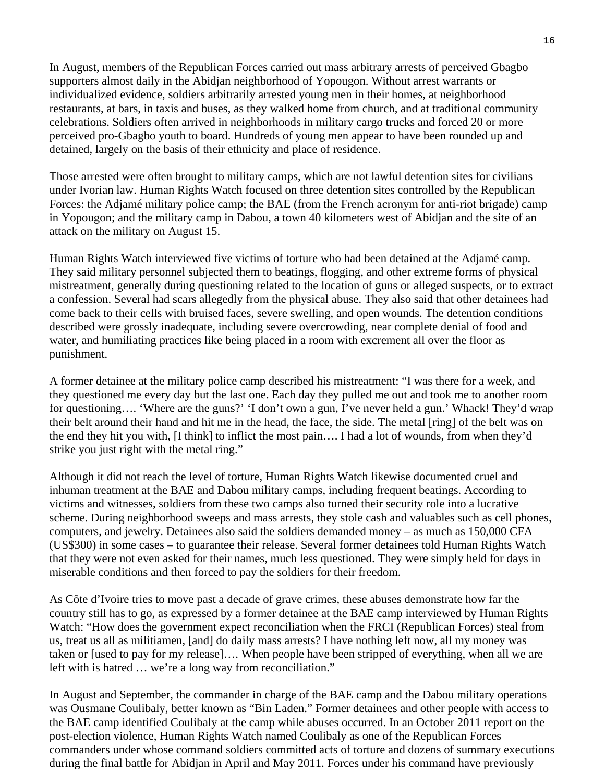In August, members of the Republican Forces carried out mass arbitrary arrests of perceived Gbagbo supporters almost daily in the Abidjan neighborhood of Yopougon. Without arrest warrants or individualized evidence, soldiers arbitrarily arrested young men in their homes, at neighborhood restaurants, at bars, in taxis and buses, as they walked home from church, and at traditional community celebrations. Soldiers often arrived in neighborhoods in military cargo trucks and forced 20 or more perceived pro-Gbagbo youth to board. Hundreds of young men appear to have been rounded up and detained, largely on the basis of their ethnicity and place of residence.

Those arrested were often brought to military camps, which are not lawful detention sites for civilians under Ivorian law. Human Rights Watch focused on three detention sites controlled by the Republican Forces: the Adjamé military police camp; the BAE (from the French acronym for anti-riot brigade) camp in Yopougon; and the military camp in Dabou, a town 40 kilometers west of Abidjan and the site of an attack on the military on August 15.

Human Rights Watch interviewed five victims of torture who had been detained at the Adjamé camp. They said military personnel subjected them to beatings, flogging, and other extreme forms of physical mistreatment, generally during questioning related to the location of guns or alleged suspects, or to extract a confession. Several had scars allegedly from the physical abuse. They also said that other detainees had come back to their cells with bruised faces, severe swelling, and open wounds. The detention conditions described were grossly inadequate, including severe overcrowding, near complete denial of food and water, and humiliating practices like being placed in a room with excrement all over the floor as punishment.

A former detainee at the military police camp described his mistreatment: "I was there for a week, and they questioned me every day but the last one. Each day they pulled me out and took me to another room for questioning…. 'Where are the guns?' 'I don't own a gun, I've never held a gun.' Whack! They'd wrap their belt around their hand and hit me in the head, the face, the side. The metal [ring] of the belt was on the end they hit you with, [I think] to inflict the most pain…. I had a lot of wounds, from when they'd strike you just right with the metal ring."

Although it did not reach the level of torture, Human Rights Watch likewise documented cruel and inhuman treatment at the BAE and Dabou military camps, including frequent beatings. According to victims and witnesses, soldiers from these two camps also turned their security role into a lucrative scheme. During neighborhood sweeps and mass arrests, they stole cash and valuables such as cell phones, computers, and jewelry. Detainees also said the soldiers demanded money – as much as 150,000 CFA (US\$300) in some cases – to guarantee their release. Several former detainees told Human Rights Watch that they were not even asked for their names, much less questioned. They were simply held for days in miserable conditions and then forced to pay the soldiers for their freedom.

As Côte d'Ivoire tries to move past a decade of grave crimes, these abuses demonstrate how far the country still has to go, as expressed by a former detainee at the BAE camp interviewed by Human Rights Watch: "How does the government expect reconciliation when the FRCI (Republican Forces) steal from us, treat us all as militiamen, [and] do daily mass arrests? I have nothing left now, all my money was taken or [used to pay for my release]…. When people have been stripped of everything, when all we are left with is hatred … we're a long way from reconciliation."

In August and September, the commander in charge of the BAE camp and the Dabou military operations was Ousmane Coulibaly, better known as "Bin Laden." Former detainees and other people with access to the BAE camp identified Coulibaly at the camp while abuses occurred. In an October 2011 report on the post-election violence, Human Rights Watch named Coulibaly as one of the Republican Forces commanders under whose command soldiers committed acts of torture and dozens of summary executions during the final battle for Abidjan in April and May 2011. Forces under his command have previously